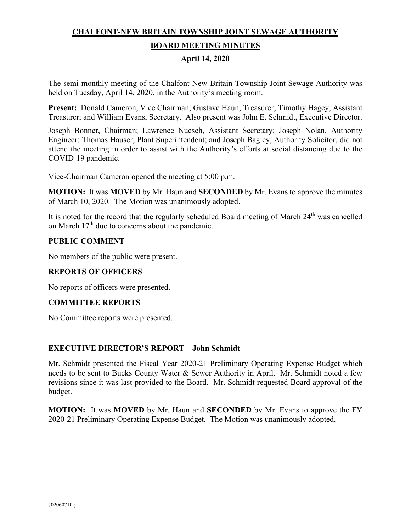# **CHALFONT-NEW BRITAIN TOWNSHIP JOINT SEWAGE AUTHORITY BOARD MEETING MINUTES**

# **April 14, 2020**

The semi-monthly meeting of the Chalfont-New Britain Township Joint Sewage Authority was held on Tuesday, April 14, 2020, in the Authority's meeting room.

**Present:** Donald Cameron, Vice Chairman; Gustave Haun, Treasurer; Timothy Hagey, Assistant Treasurer; and William Evans, Secretary. Also present was John E. Schmidt, Executive Director.

Joseph Bonner, Chairman; Lawrence Nuesch, Assistant Secretary; Joseph Nolan, Authority Engineer; Thomas Hauser, Plant Superintendent; and Joseph Bagley, Authority Solicitor, did not attend the meeting in order to assist with the Authority's efforts at social distancing due to the COVID-19 pandemic.

Vice-Chairman Cameron opened the meeting at 5:00 p.m.

**MOTION:** It was **MOVED** by Mr. Haun and **SECONDED** by Mr. Evans to approve the minutes of March 10, 2020. The Motion was unanimously adopted.

It is noted for the record that the regularly scheduled Board meeting of March 24<sup>th</sup> was cancelled on March  $17<sup>th</sup>$  due to concerns about the pandemic.

# **PUBLIC COMMENT**

No members of the public were present.

# **REPORTS OF OFFICERS**

No reports of officers were presented.

# **COMMITTEE REPORTS**

No Committee reports were presented.

# **EXECUTIVE DIRECTOR'S REPORT – John Schmidt**

Mr. Schmidt presented the Fiscal Year 2020-21 Preliminary Operating Expense Budget which needs to be sent to Bucks County Water & Sewer Authority in April. Mr. Schmidt noted a few revisions since it was last provided to the Board. Mr. Schmidt requested Board approval of the budget.

**MOTION:** It was **MOVED** by Mr. Haun and **SECONDED** by Mr. Evans to approve the FY 2020-21 Preliminary Operating Expense Budget. The Motion was unanimously adopted.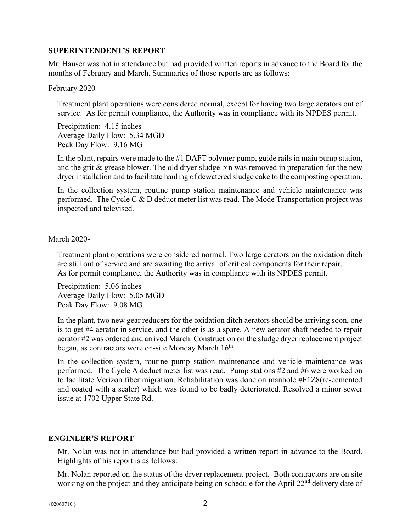#### **SUPERINTENDENT'S REPORT**

Mr. Hauser was not in attendance but had provided written reports in advance to the Board for the months of February and March. Summaries of those reports are as follows:

February 2020-

Treatment plant operations were considered normal, except for having two large aerators out of service. As for permit compliance, the Authority was in compliance with its NPDES permit.

Precipitation: 4.15 inches Average Daily Flow: 5.34 MGD Peak Day Flow: 9.16 MG

In the plant, repairs were made to the #1 DAFT polymer pump, guide rails in main pump station, and the grit & grease blower. The old dryer sludge bin was removed in preparation for the new dryer installation and to facilitate hauling of dewatered sludge cake to the composting operation.

In the collection system, routine pump station maintenance and vehicle maintenance was performed. The Cycle C & D deduct meter list was read. The Mode Transportation project was inspected and televised.

March 2020-

Treatment plant operations were considered normal. Two large aerators on the oxidation ditch are still out of service and are awaiting the arrival of critical components for their repair. As for permit compliance, the Authority was in compliance with its NPDES permit.

Precipitation: 5.06 inches Average Daily Flow: 5.05 MGD Peak Day Flow: 9.08 MG

In the plant, two new gear reducers for the oxidation ditch aerators should be arriving soon, one is to get #4 aerator in service, and the other is as a spare. A new aerator shaft needed to repair aerator #2 was ordered and arrived March. Construction on the sludge dryer replacement project began, as contractors were on-site Monday March 16<sup>th</sup>.

In the collection system, routine pump station maintenance and vehicle maintenance was performed. The Cycle A deduct meter list was read. Pump stations #2 and #6 were worked on to facilitate Verizon fiber migration. Rehabilitation was done on manhole #F1Z8(re-cemented and coated with a sealer) which was found to be badly deteriorated. Resolved a minor sewer issue at 1702 Upper State Rd.

# **ENGINEER'S REPORT**

Mr. Nolan was not in attendance but had provided a written report in advance to the Board. Highlights of his report is as follows:

Mr. Nolan reported on the status of the dryer replacement project. Both contractors are on site working on the project and they anticipate being on schedule for the April 22<sup>nd</sup> delivery date of